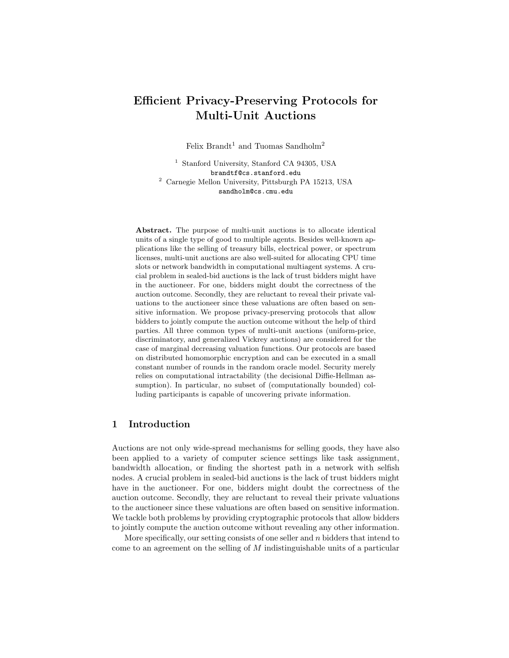# Efficient Privacy-Preserving Protocols for Multi-Unit Auctions

Felix Brandt<sup>1</sup> and Tuomas Sandholm<sup>2</sup>

<sup>1</sup> Stanford University, Stanford CA 94305, USA brandtf@cs.stanford.edu <sup>2</sup> Carnegie Mellon University, Pittsburgh PA 15213, USA sandholm@cs.cmu.edu

Abstract. The purpose of multi-unit auctions is to allocate identical units of a single type of good to multiple agents. Besides well-known applications like the selling of treasury bills, electrical power, or spectrum licenses, multi-unit auctions are also well-suited for allocating CPU time slots or network bandwidth in computational multiagent systems. A crucial problem in sealed-bid auctions is the lack of trust bidders might have in the auctioneer. For one, bidders might doubt the correctness of the auction outcome. Secondly, they are reluctant to reveal their private valuations to the auctioneer since these valuations are often based on sensitive information. We propose privacy-preserving protocols that allow bidders to jointly compute the auction outcome without the help of third parties. All three common types of multi-unit auctions (uniform-price, discriminatory, and generalized Vickrey auctions) are considered for the case of marginal decreasing valuation functions. Our protocols are based on distributed homomorphic encryption and can be executed in a small constant number of rounds in the random oracle model. Security merely relies on computational intractability (the decisional Diffie-Hellman assumption). In particular, no subset of (computationally bounded) colluding participants is capable of uncovering private information.

# 1 Introduction

Auctions are not only wide-spread mechanisms for selling goods, they have also been applied to a variety of computer science settings like task assignment, bandwidth allocation, or finding the shortest path in a network with selfish nodes. A crucial problem in sealed-bid auctions is the lack of trust bidders might have in the auctioneer. For one, bidders might doubt the correctness of the auction outcome. Secondly, they are reluctant to reveal their private valuations to the auctioneer since these valuations are often based on sensitive information. We tackle both problems by providing cryptographic protocols that allow bidders to jointly compute the auction outcome without revealing any other information.

More specifically, our setting consists of one seller and  $n$  bidders that intend to come to an agreement on the selling of M indistinguishable units of a particular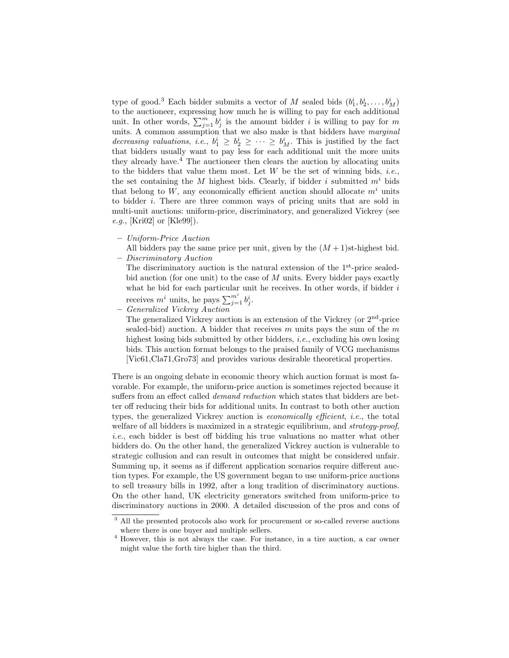type of good.<sup>3</sup> Each bidder submits a vector of M sealed bids  $(b_1^i, b_2^i, \ldots, b_M^i)$ to the auctioneer, expressing how much he is willing to pay for each additional unit. In other words,  $\sum_{j=1}^m b_j^i$  is the amount bidder i is willing to pay for m units. A common assumption that we also make is that bidders have marginal decreasing valuations, i.e.,  $b_1^i \geq b_2^i \geq \cdots \geq b_M^i$ . This is justified by the fact that bidders usually want to pay less for each additional unit the more units they already have.<sup>4</sup> The auctioneer then clears the auction by allocating units to the bidders that value them most. Let  $W$  be the set of winning bids, *i.e.*, the set containing the M highest bids. Clearly, if bidder i submitted  $m<sup>i</sup>$  bids that belong to  $W$ , any economically efficient auction should allocate  $m<sup>i</sup>$  units to bidder i. There are three common ways of pricing units that are sold in multi-unit auctions: uniform-price, discriminatory, and generalized Vickrey (see e.g., [Kri $02$ ] or [Kle $99$ ]).

- Uniform-Price Auction
- All bidders pay the same price per unit, given by the  $(M+1)$ st-highest bid. – Discriminatory Auction
- The discriminatory auction is the natural extension of the  $1<sup>st</sup>$ -price sealedbid auction (for one unit) to the case of  $M$  units. Every bidder pays exactly what he bid for each particular unit he receives. In other words, if bidder  $i$ receives  $m^i$  units, he pays  $\sum_{j=1}^{m^i} b_j^i$ .
- Generalized Vickrey Auction
- The generalized Vickrey auction is an extension of the Vickrey (or  $2<sup>nd</sup>$ -price sealed-bid) auction. A bidder that receives  $m$  units pays the sum of the  $m$ highest losing bids submitted by other bidders, i.e., excluding his own losing bids. This auction format belongs to the praised family of VCG mechanisms [Vic61,Cla71,Gro73] and provides various desirable theoretical properties.

There is an ongoing debate in economic theory which auction format is most favorable. For example, the uniform-price auction is sometimes rejected because it suffers from an effect called *demand reduction* which states that bidders are better off reducing their bids for additional units. In contrast to both other auction types, the generalized Vickrey auction is economically efficient, i.e., the total welfare of all bidders is maximized in a strategic equilibrium, and *strategy-proof*, i.e., each bidder is best off bidding his true valuations no matter what other bidders do. On the other hand, the generalized Vickrey auction is vulnerable to strategic collusion and can result in outcomes that might be considered unfair. Summing up, it seems as if different application scenarios require different auction types. For example, the US government began to use uniform-price auctions to sell treasury bills in 1992, after a long tradition of discriminatory auctions. On the other hand, UK electricity generators switched from uniform-price to discriminatory auctions in 2000. A detailed discussion of the pros and cons of

<sup>&</sup>lt;sup>3</sup> All the presented protocols also work for procurement or so-called reverse auctions where there is one buyer and multiple sellers.

<sup>4</sup> However, this is not always the case. For instance, in a tire auction, a car owner might value the forth tire higher than the third.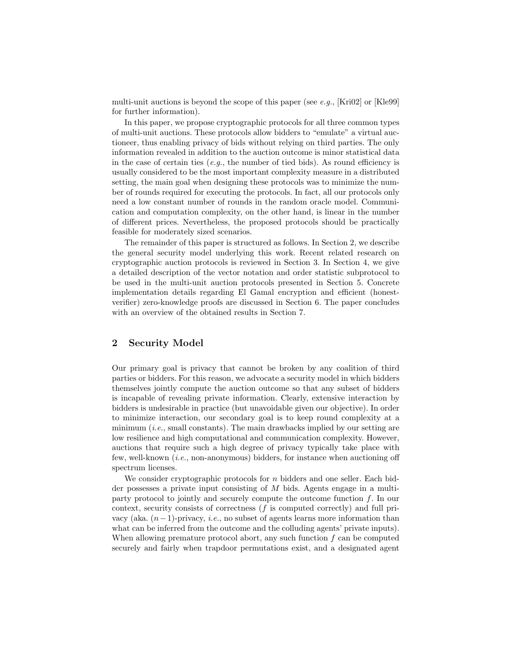multi-unit auctions is beyond the scope of this paper (see e.g., [Kri02] or [Kle99] for further information).

In this paper, we propose cryptographic protocols for all three common types of multi-unit auctions. These protocols allow bidders to "emulate" a virtual auctioneer, thus enabling privacy of bids without relying on third parties. The only information revealed in addition to the auction outcome is minor statistical data in the case of certain ties  $(e.q.,\,$  the number of tied bids). As round efficiency is usually considered to be the most important complexity measure in a distributed setting, the main goal when designing these protocols was to minimize the number of rounds required for executing the protocols. In fact, all our protocols only need a low constant number of rounds in the random oracle model. Communication and computation complexity, on the other hand, is linear in the number of different prices. Nevertheless, the proposed protocols should be practically feasible for moderately sized scenarios.

The remainder of this paper is structured as follows. In Section 2, we describe the general security model underlying this work. Recent related research on cryptographic auction protocols is reviewed in Section 3. In Section 4, we give a detailed description of the vector notation and order statistic subprotocol to be used in the multi-unit auction protocols presented in Section 5. Concrete implementation details regarding El Gamal encryption and efficient (honestverifier) zero-knowledge proofs are discussed in Section 6. The paper concludes with an overview of the obtained results in Section 7.

## 2 Security Model

Our primary goal is privacy that cannot be broken by any coalition of third parties or bidders. For this reason, we advocate a security model in which bidders themselves jointly compute the auction outcome so that any subset of bidders is incapable of revealing private information. Clearly, extensive interaction by bidders is undesirable in practice (but unavoidable given our objective). In order to minimize interaction, our secondary goal is to keep round complexity at a minimum  $(i.e., small constants)$ . The main drawbacks implied by our setting are low resilience and high computational and communication complexity. However, auctions that require such a high degree of privacy typically take place with few, well-known (i.e., non-anonymous) bidders, for instance when auctioning off spectrum licenses.

We consider cryptographic protocols for  $n$  bidders and one seller. Each bidder possesses a private input consisting of  $M$  bids. Agents engage in a multiparty protocol to jointly and securely compute the outcome function f. In our context, security consists of correctness  $(f$  is computed correctly) and full privacy (aka.  $(n-1)$ -privacy, *i.e.*, no subset of agents learns more information than what can be inferred from the outcome and the colluding agents' private inputs). When allowing premature protocol abort, any such function  $f$  can be computed securely and fairly when trapdoor permutations exist, and a designated agent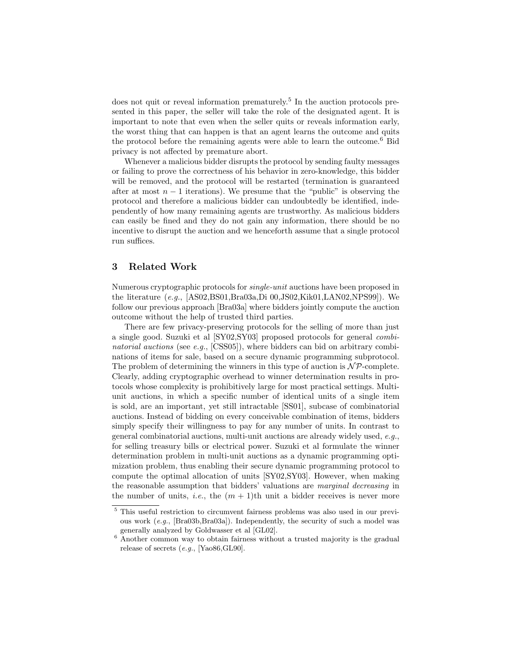does not quit or reveal information prematurely.<sup>5</sup> In the auction protocols presented in this paper, the seller will take the role of the designated agent. It is important to note that even when the seller quits or reveals information early, the worst thing that can happen is that an agent learns the outcome and quits the protocol before the remaining agents were able to learn the outcome.<sup>6</sup> Bid privacy is not affected by premature abort.

Whenever a malicious bidder disrupts the protocol by sending faulty messages or failing to prove the correctness of his behavior in zero-knowledge, this bidder will be removed, and the protocol will be restarted (termination is guaranteed after at most  $n-1$  iterations). We presume that the "public" is observing the protocol and therefore a malicious bidder can undoubtedly be identified, independently of how many remaining agents are trustworthy. As malicious bidders can easily be fined and they do not gain any information, there should be no incentive to disrupt the auction and we henceforth assume that a single protocol run suffices.

# 3 Related Work

Numerous cryptographic protocols for single-unit auctions have been proposed in the literature (e.g., [AS02,BS01,Bra03a,Di 00,JS02,Kik01,LAN02,NPS99]). We follow our previous approach [Bra03a] where bidders jointly compute the auction outcome without the help of trusted third parties.

There are few privacy-preserving protocols for the selling of more than just a single good. Suzuki et al [SY02,SY03] proposed protocols for general combinatorial auctions (see e.g., [CSS05]), where bidders can bid on arbitrary combinations of items for sale, based on a secure dynamic programming subprotocol. The problem of determining the winners in this type of auction is  $\mathcal{NP}$ -complete. Clearly, adding cryptographic overhead to winner determination results in protocols whose complexity is prohibitively large for most practical settings. Multiunit auctions, in which a specific number of identical units of a single item is sold, are an important, yet still intractable [SS01], subcase of combinatorial auctions. Instead of bidding on every conceivable combination of items, bidders simply specify their willingness to pay for any number of units. In contrast to general combinatorial auctions, multi-unit auctions are already widely used, e.g., for selling treasury bills or electrical power. Suzuki et al formulate the winner determination problem in multi-unit auctions as a dynamic programming optimization problem, thus enabling their secure dynamic programming protocol to compute the optimal allocation of units [SY02,SY03]. However, when making the reasonable assumption that bidders' valuations are marginal decreasing in the number of units, *i.e.*, the  $(m + 1)$ th unit a bidder receives is never more

<sup>5</sup> This useful restriction to circumvent fairness problems was also used in our previous work (e.g., [Bra03b,Bra03a]). Independently, the security of such a model was generally analyzed by Goldwasser et al [GL02].

<sup>&</sup>lt;sup>6</sup> Another common way to obtain fairness without a trusted majority is the gradual release of secrets (e.g., [Yao86,GL90].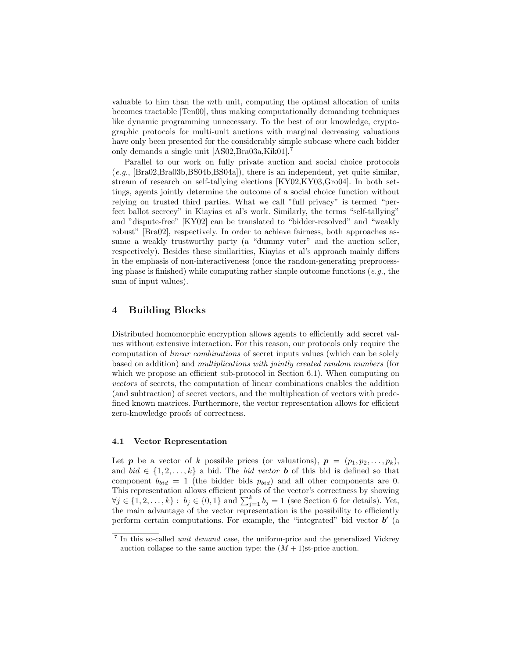valuable to him than the mth unit, computing the optimal allocation of units becomes tractable [Ten00], thus making computationally demanding techniques like dynamic programming unnecessary. To the best of our knowledge, cryptographic protocols for multi-unit auctions with marginal decreasing valuations have only been presented for the considerably simple subcase where each bidder only demands a single unit [AS02,Bra03a,Kik01].<sup>7</sup>

Parallel to our work on fully private auction and social choice protocols (e.g., [Bra02,Bra03b,BS04b,BS04a]), there is an independent, yet quite similar, stream of research on self-tallying elections [KY02,KY03,Gro04]. In both settings, agents jointly determine the outcome of a social choice function without relying on trusted third parties. What we call "full privacy" is termed "perfect ballot secrecy" in Kiayias et al's work. Similarly, the terms "self-tallying" and "dispute-free" [KY02] can be translated to "bidder-resolved" and "weakly robust" [Bra02], respectively. In order to achieve fairness, both approaches assume a weakly trustworthy party (a "dummy voter" and the auction seller, respectively). Besides these similarities, Kiayias et al's approach mainly differs in the emphasis of non-interactiveness (once the random-generating preprocessing phase is finished) while computing rather simple outcome functions  $(e.g., the)$ sum of input values).

# 4 Building Blocks

Distributed homomorphic encryption allows agents to efficiently add secret values without extensive interaction. For this reason, our protocols only require the computation of linear combinations of secret inputs values (which can be solely based on addition) and multiplications with jointly created random numbers (for which we propose an efficient sub-protocol in Section 6.1). When computing on vectors of secrets, the computation of linear combinations enables the addition (and subtraction) of secret vectors, and the multiplication of vectors with predefined known matrices. Furthermore, the vector representation allows for efficient zero-knowledge proofs of correctness.

#### 4.1 Vector Representation

Let **p** be a vector of k possible prices (or valuations),  $p = (p_1, p_2, \ldots, p_k)$ , and bid  $\in \{1, 2, ..., k\}$  a bid. The bid vector **b** of this bid is defined so that component  $b_{bid} = 1$  (the bidder bids  $p_{bid}$ ) and all other components are 0. This representation allows efficient proofs of the vector's correctness by showing  $\forall j \in \{1, 2, \ldots, k\} : b_j \in \{0, 1\} \text{ and } \sum_{j=1}^k b_j = 1 \text{ (see Section 6 for details). Yet,}$ the main advantage of the vector representation is the possibility to efficiently perform certain computations. For example, the "integrated" bid vector  $b'$  (a

<sup>&</sup>lt;sup>7</sup> In this so-called *unit demand* case, the uniform-price and the generalized Vickrey auction collapse to the same auction type: the  $(M + 1)$ st-price auction.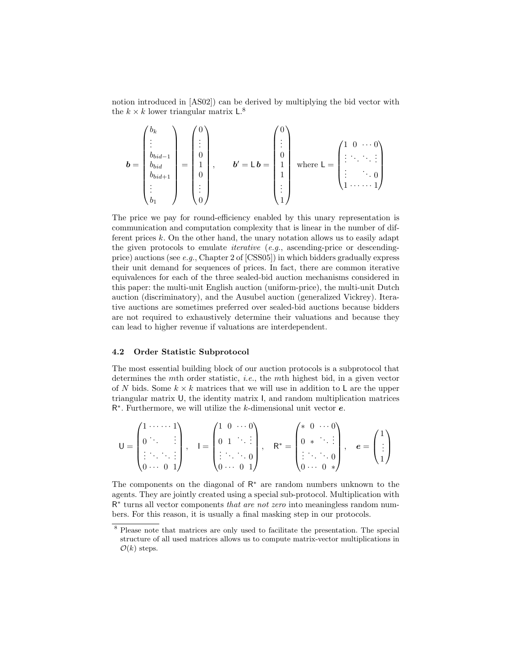notion introduced in [AS02]) can be derived by multiplying the bid vector with the  $k \times k$  lower triangular matrix L.<sup>8</sup>

$$
\boldsymbol{b} = \begin{pmatrix} b_k \\ \vdots \\ b_{bid-1} \\ b_{bid+1} \\ \vdots \\ b_1 \end{pmatrix} = \begin{pmatrix} 0 \\ \vdots \\ 0 \\ 1 \\ \vdots \\ 0 \end{pmatrix}, \qquad \boldsymbol{b}' = \mathsf{L}\,\boldsymbol{b} = \begin{pmatrix} 0 \\ \vdots \\ 0 \\ 1 \\ 1 \\ \vdots \\ 1 \end{pmatrix} \text{ where } \mathsf{L} = \begin{pmatrix} 1 & 0 & \cdots & 0 \\ \vdots & \ddots & \ddots & \vdots \\ \vdots & \ddots & \ddots & \vdots \\ 1 & \cdots & \cdots & 1 \end{pmatrix}
$$

The price we pay for round-efficiency enabled by this unary representation is communication and computation complexity that is linear in the number of different prices  $k$ . On the other hand, the unary notation allows us to easily adapt the given protocols to emulate *iterative* (*e.g.*, ascending-price or descendingprice) auctions (see e.g., Chapter 2 of [CSS05]) in which bidders gradually express their unit demand for sequences of prices. In fact, there are common iterative equivalences for each of the three sealed-bid auction mechanisms considered in this paper: the multi-unit English auction (uniform-price), the multi-unit Dutch auction (discriminatory), and the Ausubel auction (generalized Vickrey). Iterative auctions are sometimes preferred over sealed-bid auctions because bidders are not required to exhaustively determine their valuations and because they can lead to higher revenue if valuations are interdependent.

#### 4.2 Order Statistic Subprotocol

The most essential building block of our auction protocols is a subprotocol that determines the mth order statistic, *i.e.*, the mth highest bid, in a given vector of N bids. Some  $k \times k$  matrices that we will use in addition to L are the upper triangular matrix U, the identity matrix I, and random multiplication matrices  $R^*$ . Furthermore, we will utilize the k-dimensional unit vector  $e$ .

$$
U = \begin{pmatrix} 1 & \cdots & \cdots & 1 \\ 0 & \ddots & & \vdots \\ \vdots & \ddots & \ddots & \vdots \\ 0 & \cdots & 0 & 1 \end{pmatrix}, \quad I = \begin{pmatrix} 1 & 0 & \cdots & 0 \\ 0 & 1 & \ddots & \vdots \\ \vdots & \ddots & \ddots & 0 \\ 0 & \cdots & 0 & 1 \end{pmatrix}, \quad R^* = \begin{pmatrix} * & 0 & \cdots & 0 \\ 0 & * & \ddots & \vdots \\ \vdots & \ddots & \ddots & 0 \\ 0 & \cdots & 0 & * \end{pmatrix}, \quad e = \begin{pmatrix} 1 \\ \vdots \\ 1 \end{pmatrix}
$$

The components on the diagonal of  $\mathsf{R}^*$  are random numbers unknown to the agents. They are jointly created using a special sub-protocol. Multiplication with R<sup>\*</sup> turns all vector components that are not zero into meaningless random numbers. For this reason, it is usually a final masking step in our protocols.

<sup>8</sup> Please note that matrices are only used to facilitate the presentation. The special structure of all used matrices allows us to compute matrix-vector multiplications in  $\mathcal{O}(k)$  steps.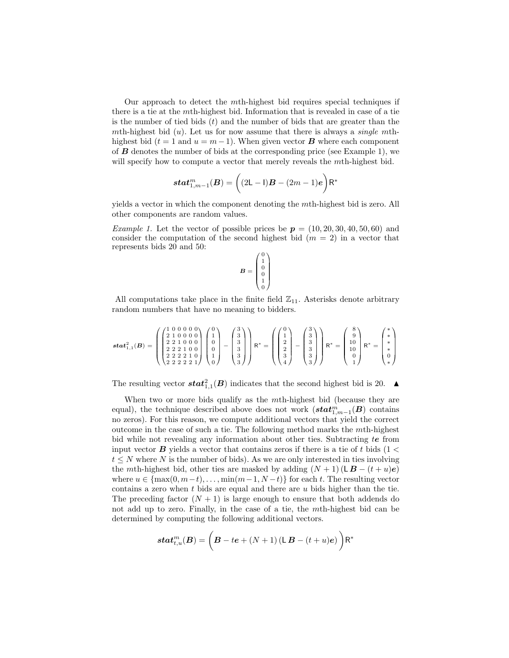Our approach to detect the mth-highest bid requires special techniques if there is a tie at the mth-highest bid. Information that is revealed in case of a tie is the number of tied bids  $(t)$  and the number of bids that are greater than the mth-highest bid  $(u)$ . Let us for now assume that there is always a *single mth*highest bid ( $t = 1$  and  $u = m - 1$ ). When given vector **B** where each component of  $\bf{B}$  denotes the number of bids at the corresponding price (see Example 1), we will specify how to compute a vector that merely reveals the *mth*-highest bid.

$$
\boldsymbol{stat}_{1,m-1}^m(\boldsymbol{B}) = \left( (2\mathsf{L} - \mathsf{I})\boldsymbol{B} - (2m-1)\boldsymbol{e} \right) \mathsf{R}^*
$$

yields a vector in which the component denoting the mth-highest bid is zero. All other components are random values.

Example 1. Let the vector of possible prices be  $p = (10, 20, 30, 40, 50, 60)$  and consider the computation of the second highest bid  $(m = 2)$  in a vector that represents bids 20 and 50:

$$
\boldsymbol{B} = \begin{pmatrix} 0 \\ 1 \\ 0 \\ 0 \\ 1 \\ 0 \end{pmatrix}
$$

All computations take place in the finite field  $\mathbb{Z}_{11}$ . Asterisks denote arbitrary random numbers that have no meaning to bidders.

$$
\boldsymbol{stat}_{1,1}^{2}(\boldsymbol{B}) = \begin{pmatrix} \begin{pmatrix} 1 & 0 & 0 & 0 & 0 & 0 \\ 2 & 1 & 0 & 0 & 0 & 0 \\ 2 & 2 & 1 & 0 & 0 & 0 \\ 2 & 2 & 2 & 2 & 1 & 0 \\ 2 & 2 & 2 & 2 & 1 \end{pmatrix} \begin{pmatrix} 0 \\ 1 \\ 0 \\ 0 \\ 1 \end{pmatrix} - \begin{pmatrix} 3 \\ 3 \\ 3 \\ 3 \\ 3 \end{pmatrix} \end{pmatrix} \boldsymbol{R}^{*} = \begin{pmatrix} \begin{pmatrix} 0 \\ 1 \\ 2 \\ 2 \\ 3 \\ 4 \end{pmatrix} - \begin{pmatrix} 3 \\ 3 \\ 3 \\ 3 \\ 3 \end{pmatrix} \boldsymbol{R}^{*} = \begin{pmatrix} 8 \\ 9 \\ 10 \\ 10 \\ 0 \\ 1 \end{pmatrix} \boldsymbol{R}^{*} = \begin{pmatrix} * \\ * \\ * \\ * \\ * \\ * \end{pmatrix}
$$

The resulting vector  $\text{stat}_{1,1}^2(B)$  indicates that the second highest bid is 20.  $\triangle$ 

When two or more bids qualify as the mth-highest bid (because they are equal), the technique described above does not work  $(\textit{stat}_{1,m-1}^m(\textbf{B})$  contains no zeros). For this reason, we compute additional vectors that yield the correct outcome in the case of such a tie. The following method marks the mth-highest bid while not revealing any information about other ties. Subtracting te from input vector  $\bm{B}$  yields a vector that contains zeros if there is a tie of t bids (1 <  $t \leq N$  where N is the number of bids). As we are only interested in ties involving the mth-highest bid, other ties are masked by adding  $(N + 1)$  (L  $\mathbf{B} - (t + u)\mathbf{e}$ ) where  $u \in \{\max(0, m-t), \ldots, \min(m-1, N-t)\}\$  for each t. The resulting vector contains a zero when  $t$  bids are equal and there are  $u$  bids higher than the tie. The preceding factor  $(N + 1)$  is large enough to ensure that both addends do not add up to zero. Finally, in the case of a tie, the mth-highest bid can be determined by computing the following additional vectors.

$$
stat^{m}_{t,u}(B) = \left(B - te + (N+1) (LB - (t+u)e)\right) R^*
$$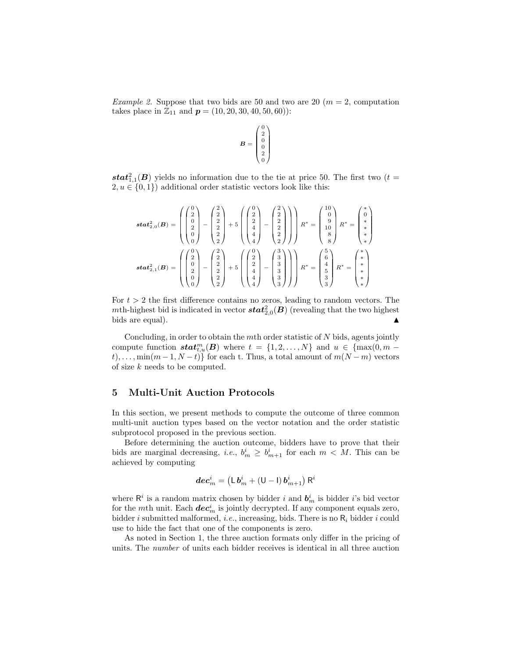*Example 2.* Suppose that two bids are 50 and two are 20 ( $m = 2$ , computation takes place in  $\mathbb{Z}_{11}$  and  $\boldsymbol{p} = (10, 20, 30, 40, 50, 60)$ :

$$
\boldsymbol{B} = \begin{pmatrix} 0 \\ 2 \\ 0 \\ 0 \\ 2 \\ 0 \end{pmatrix}
$$

<sup>1</sup>

 $\textbf{stat}_{1,1}^2(\textbf{B})$  yields no information due to the tie at price 50. The first two  $(t =$  $2, u \in \{0, 1\}$  additional order statistic vectors look like this:

$$
stat_{2,0}^{2}(B) = \begin{pmatrix} 0 \\ 2 \\ 0 \\ 2 \\ 0 \end{pmatrix} - \begin{pmatrix} 2 \\ 2 \\ 2 \\ 2 \\ 2 \end{pmatrix} + 5 \begin{pmatrix} 0 \\ 2 \\ 2 \\ 4 \\ 4 \end{pmatrix} - \begin{pmatrix} 2 \\ 2 \\ 2 \\ 2 \\ 2 \end{pmatrix} \begin{pmatrix} 2 \\ 2 \\ 2 \\ 2 \\ 2 \end{pmatrix} \begin{pmatrix} 2 \\ 2 \\ 2 \\ 2 \\ 2 \end{pmatrix} \begin{pmatrix} 2 \\ 2 \\ 2 \\ 2 \\ 2 \end{pmatrix} B^* = \begin{pmatrix} 10 \\ 0 \\ 0 \\ 0 \\ 8 \\ 8 \end{pmatrix} R^* = \begin{pmatrix} * \\ 0 \\ * \\ * \\ * \end{pmatrix}
$$

$$
stat_{2,1}^{2}(B) = \begin{pmatrix} 0 \\ 2 \\ 0 \\ 2 \\ 0 \end{pmatrix} - \begin{pmatrix} 2 \\ 2 \\ 2 \\ 2 \\ 2 \end{pmatrix} + 5 \begin{pmatrix} 0 \\ 2 \\ 2 \\ 4 \\ 4 \end{pmatrix} - \begin{pmatrix} 3 \\ 3 \\ 3 \\ 3 \\ 3 \end{pmatrix} \begin{pmatrix} 3 \\ 2 \\ 3 \\ 3 \\ 3 \end{pmatrix} B^* = \begin{pmatrix} 5 \\ 6 \\ 4 \\ 5 \\ 3 \\ 3 \end{pmatrix} R^* = \begin{pmatrix} * \\ * \\ * \\ * \\ * \end{pmatrix}
$$

For  $t > 2$  the first difference contains no zeros, leading to random vectors. The  $m$ th-highest bid is indicated in vector  $\textit{stat}_{2,0}^2(B)$  (revealing that the two highest bids are equal).

Concluding, in order to obtain the  $m$ th order statistic of  $N$  bids, agents jointly compute function  $\textbf{stat}_{t,u}^m(B)$  where  $t = \{1, 2, ..., N\}$  and  $u \in \{\max(0, m - \mathbb{I}\})$  $t, \ldots, \min(m-1, N-t)$  for each t. Thus, a total amount of  $m(N-m)$  vectors of size k needs to be computed.

## 5 Multi-Unit Auction Protocols

In this section, we present methods to compute the outcome of three common multi-unit auction types based on the vector notation and the order statistic subprotocol proposed in the previous section.

Before determining the auction outcome, bidders have to prove that their bids are marginal decreasing, *i.e.*,  $b_m^i \geq b_{m+1}^i$  for each  $m < M$ . This can be achieved by computing

$$
\boldsymbol{dec_m^i} = \left(\mathsf{L}\, \boldsymbol{b}_m^i + \left(\mathsf{U} - \mathsf{I}\right) \boldsymbol{b}_{m+1}^i\right)\mathsf{R}^i
$$

where  $\mathsf{R}^i$  is a random matrix chosen by bidder i and  $\mathbf{b}_m^i$  is bidder i's bid vector for the *m*th unit. Each  $dec_m^i$  is jointly decrypted. If any component equals zero, bidder i submitted malformed, i.e., increasing, bids. There is no  $R_i$  bidder i could use to hide the fact that one of the components is zero.

As noted in Section 1, the three auction formats only differ in the pricing of units. The number of units each bidder receives is identical in all three auction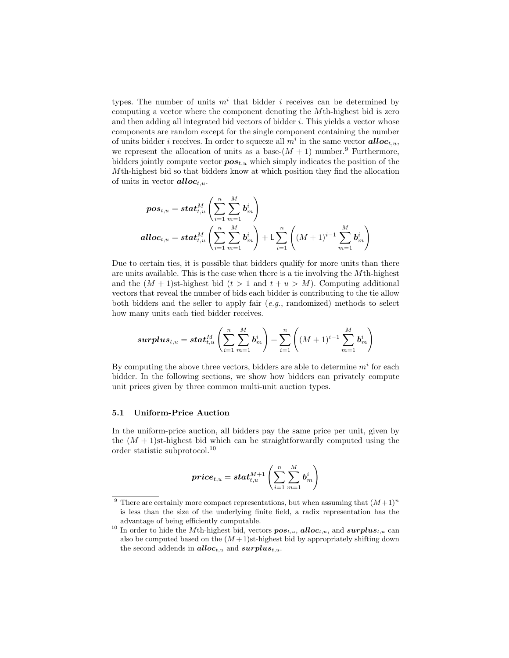types. The number of units  $m<sup>i</sup>$  that bidder *i* receives can be determined by computing a vector where the component denoting the Mth-highest bid is zero and then adding all integrated bid vectors of bidder i. This yields a vector whose components are random except for the single component containing the number of units bidder *i* receives. In order to squeeze all  $m^i$  in the same vector  $\boldsymbol{alloc}_{t,u}$ , we represent the allocation of units as a base- $(M + 1)$  number.<sup>9</sup> Furthermore, bidders jointly compute vector  $pos_{t,u}$  which simply indicates the position of the Mth-highest bid so that bidders know at which position they find the allocation of units in vector  $alloc_{t,u}$ .

$$
\begin{aligned}{{\boldsymbol{pos}}_{t,u}}&=\boldsymbol{stat}_{t,u}^M\left(\sum_{i=1}^{n}\sum_{m=1}^{M}{{\boldsymbol{b}}_{m}^{i}}\right)\\ \boldsymbol{alloc}_{t,u}&=\boldsymbol{stat}_{t,u}^M\left(\sum_{i=1}^{n}\sum_{m=1}^{M}{{\boldsymbol{b}}_{m}^{i}}\right)+\mathsf{L}\sum_{i=1}^{n}\left((M+1)^{i-1}\sum_{m=1}^{M}{{\boldsymbol{b}}_{m}^{i}}\right)\end{aligned}
$$

Due to certain ties, it is possible that bidders qualify for more units than there are units available. This is the case when there is a tie involving the Mth-highest and the  $(M + 1)$ st-highest bid  $(t > 1$  and  $t + u > M)$ . Computing additional vectors that reveal the number of bids each bidder is contributing to the tie allow both bidders and the seller to apply fair  $(e,q)$ , randomized) methods to select how many units each tied bidder receives.

$$
\boldsymbol{surplus}_{t,u} = \boldsymbol{stat}_{t,u}^M\left(\sum_{i=1}^n\sum_{m=1}^M \boldsymbol{b}_m^i\right) + \sum_{i=1}^n \left((M+1)^{i-1}\sum_{m=1}^M \boldsymbol{b}_m^i\right)
$$

By computing the above three vectors, bidders are able to determine  $m^i$  for each bidder. In the following sections, we show how bidders can privately compute unit prices given by three common multi-unit auction types.

#### 5.1 Uniform-Price Auction

In the uniform-price auction, all bidders pay the same price per unit, given by the  $(M + 1)$ st-highest bid which can be straightforwardly computed using the order statistic subprotocol.<sup>10</sup>

$$
\bm{price}_{t,u} = \bm{stat}_{t,u}^{M+1}\left(\sum_{i=1}^{n}\sum_{m=1}^{M}b_m^i\right)
$$

<sup>&</sup>lt;sup>9</sup> There are certainly more compact representations, but when assuming that  $(M+1)^n$ is less than the size of the underlying finite field, a radix representation has the advantage of being efficiently computable.

<sup>&</sup>lt;sup>10</sup> In order to hide the Mth-highest bid, vectors  $pos_{t,u}$ , alloc<sub>t,u</sub>, and surplus<sub>t,u</sub> can also be computed based on the  $(M+1)$ st-highest bid by appropriately shifting down the second addends in **alloc**<sub>t,u</sub> and **surplus**<sub>t,u</sub>.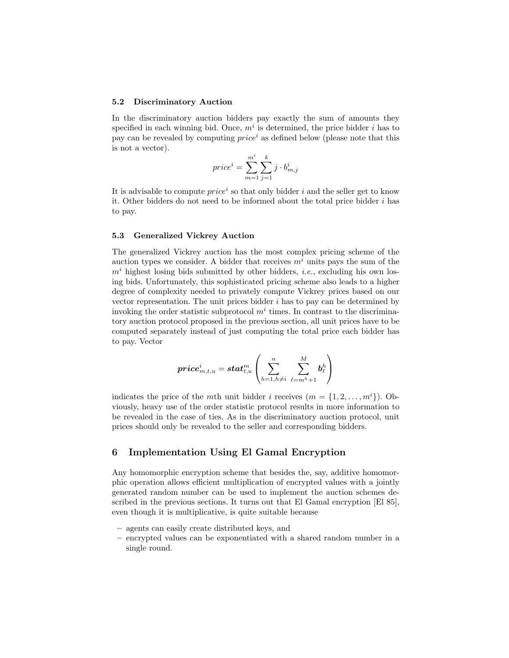#### 5.2 Discriminatory Auction

In the discriminatory auction bidders pay exactly the sum of amounts they specified in each winning bid. Once,  $m<sup>i</sup>$  is determined, the price bidder i has to pay can be revealed by computing  $price^i$  as defined below (please note that this is not a vector).

$$
price^i = \sum_{m=1}^{m^i}\sum_{j=1}^{k} j \cdot b^i_{m,j}
$$

It is advisable to compute  $price^i$  so that only bidder i and the seller get to know it. Other bidders do not need to be informed about the total price bidder  $i$  has to pay.

#### 5.3 Generalized Vickrey Auction

The generalized Vickrey auction has the most complex pricing scheme of the auction types we consider. A bidder that receives  $m<sup>i</sup>$  units pays the sum of the  $m<sup>i</sup>$  highest losing bids submitted by other bidders, *i.e.*, excluding his own losing bids. Unfortunately, this sophisticated pricing scheme also leads to a higher degree of complexity needed to privately compute Vickrey prices based on our vector representation. The unit prices bidder  $i$  has to pay can be determined by invoking the order statistic subprotocol  $m<sup>i</sup>$  times. In contrast to the discriminatory auction protocol proposed in the previous section, all unit prices have to be computed separately instead of just computing the total price each bidder has to pay. Vector

$$
\bm{price}_{m,t,u}^i = \bm{stat}_{t,u}^m\left(\sum_{h=1,h\neq i}^{n}\ \sum_{\ell=m^h+1}^{M}\bm{b}_{\ell}^{h}\right)
$$

indicates the price of the mth unit bidder i receives  $(m = \{1, 2, \ldots, m^i\})$ . Obviously, heavy use of the order statistic protocol results in more information to be revealed in the case of ties. As in the discriminatory auction protocol, unit prices should only be revealed to the seller and corresponding bidders.

# 6 Implementation Using El Gamal Encryption

Any homomorphic encryption scheme that besides the, say, additive homomorphic operation allows efficient multiplication of encrypted values with a jointly generated random number can be used to implement the auction schemes described in the previous sections. It turns out that El Gamal encryption [El 85], even though it is multiplicative, is quite suitable because

- agents can easily create distributed keys, and
- encrypted values can be exponentiated with a shared random number in a single round.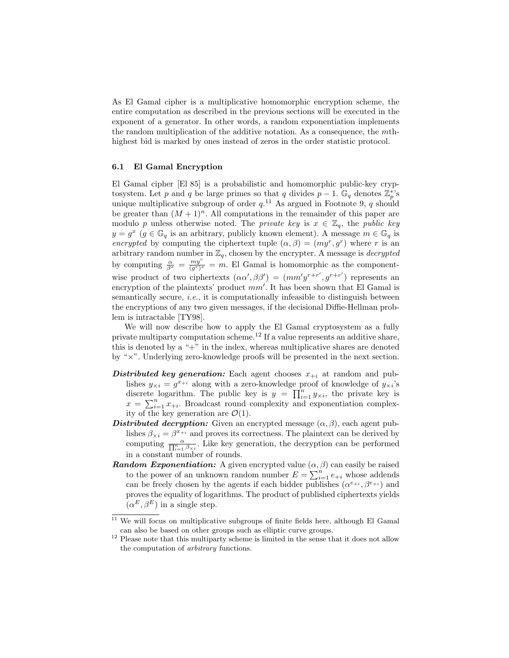As El Gamal cipher is a multiplicative homomorphic encryption scheme, the entire computation as described in the previous sections will be executed in the exponent of a generator. In other words, a random exponentiation implements the random multiplication of the additive notation. As a consequence, the mthhighest bid is marked by ones instead of zeros in the order statistic protocol.

### 6.1 El Gamal Encryption

El Gamal cipher [El 85] is a probabilistic and homomorphic public-key crypto system. Let p and q be large primes so that q divides  $p-1$ .  $\mathbb{G}_q$  denotes  $\mathbb{Z}_p^*$ 's unique multiplicative subgroup of order  $q$ .<sup>11</sup> As argued in Footnote 9, q should be greater than  $(M + 1)^n$ . All computations in the remainder of this paper are modulo p unless otherwise noted. The private key is  $x \in \mathbb{Z}_q$ , the public key  $y = g^x$  ( $g \in \mathbb{G}_q$  is an arbitrary, publicly known element). A message  $m \in \mathbb{G}_q$  is encrypted by computing the ciphertext tuple  $(\alpha, \beta) = (my^r, g^r)$  where r is an arbitrary random number in  $\mathbb{Z}_q$ , chosen by the encrypter. A message is *decrypted* by computing  $\frac{\alpha}{\beta^x} = \frac{my^r}{(g^r)^3}$  $\frac{my}{(g^r)^x} = m$ . El Gamal is homomorphic as the componentwise product of two ciphertexts  $(\alpha \alpha', \beta \beta') = (mm' y^{r+r'}, g^{r+r'})$  represents an encryption of the plaintexts' product  $mm'$ . It has been shown that El Gamal is semantically secure, *i.e.*, it is computationally infeasible to distinguish between the encryptions of any two given messages, if the decisional Diffie-Hellman problem is intractable [TY98].

We will now describe how to apply the El Gamal cryptosystem as a fully private multiparty computation scheme.<sup>12</sup> If a value represents an additive share, this is denoted by a " $+$ " in the index, whereas multiplicative shares are denoted by "×". Underlying zero-knowledge proofs will be presented in the next section.

- Distributed key generation: Each agent chooses  $x_{+i}$  at random and publishes  $y_{\times i} = g^{x_{+i}}$  along with a zero-knowledge proof of knowledge of  $y_{\times i}$ 's discrete logarithm. The public key is  $y = \prod_{i=1}^{n} y_{\times i}$ , the private key is  $x = \sum_{i=1}^{n} x_{+i}$ . Broadcast round complexity and exponentiation complexity of the key generation are  $\mathcal{O}(1)$ .
- Distributed decryption: Given an encrypted message  $(\alpha, \beta)$ , each agent publishes  $\beta_{\times i} = \beta^{x+i}$  and proves its correctness. The plaintext can be derived by computing  $\frac{\alpha}{\prod_{i=1}^n \beta_{\times i}}$ . Like key generation, the decryption can be performed in a constant number of rounds.
- **Random Exponentiation:** A given encrypted value  $(\alpha, \beta)$  can easily be raised to the power of an unknown random number  $E = \sum_{i=1}^{n} e_{+i}$  whose addends can be freely chosen by the agents if each bidder publishes  $(\alpha^{e+i}, \beta^{e+i})$  and proves the equality of logarithms. The product of published ciphertexts yields  $(\alpha^E, \beta^E)$  in a single step.

 $\overline{11}$  We will focus on multiplicative subgroups of finite fields here, although El Gamal can also be based on other groups such as elliptic curve groups.

 $^{12}$  Please note that this multiparty scheme is limited in the sense that it does not allow the computation of arbitrary functions.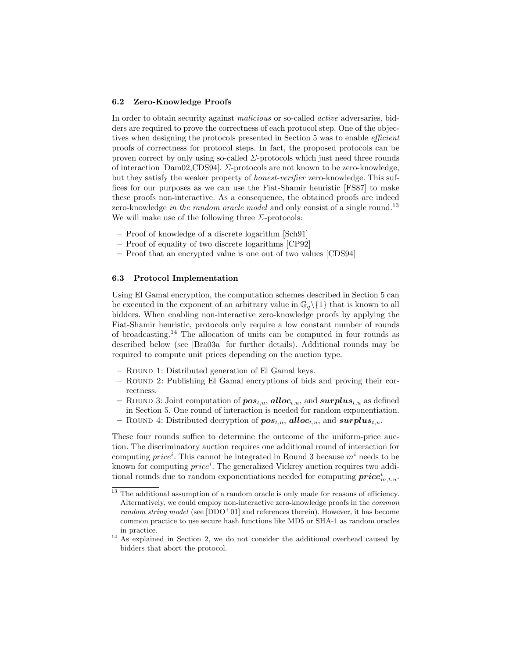#### 6.2 Zero-Knowledge Proofs

In order to obtain security against malicious or so-called active adversaries, bidders are required to prove the correctness of each protocol step. One of the objectives when designing the protocols presented in Section 5 was to enable *efficient* proofs of correctness for protocol steps. In fact, the proposed protocols can be proven correct by only using so-called  $\Sigma$ -protocols which just need three rounds of interaction [Dam02,CDS94]. Σ-protocols are not known to be zero-knowledge, but they satisfy the weaker property of honest-verifier zero-knowledge. This suffices for our purposes as we can use the Fiat-Shamir heuristic [FS87] to make these proofs non-interactive. As a consequence, the obtained proofs are indeed zero-knowledge in the random oracle model and only consist of a single round.<sup>13</sup> We will make use of the following three  $\Sigma$ -protocols:

- Proof of knowledge of a discrete logarithm [Sch91]
- Proof of equality of two discrete logarithms [CP92]
- Proof that an encrypted value is one out of two values [CDS94]

#### 6.3 Protocol Implementation

Using El Gamal encryption, the computation schemes described in Section 5 can be executed in the exponent of an arbitrary value in  $\mathbb{G}_q \setminus \{1\}$  that is known to all bidders. When enabling non-interactive zero-knowledge proofs by applying the Fiat-Shamir heuristic, protocols only require a low constant number of rounds of broadcasting.<sup>14</sup> The allocation of units can be computed in four rounds as described below (see [Bra03a] for further details). Additional rounds may be required to compute unit prices depending on the auction type.

- Round 1: Distributed generation of El Gamal keys.
- Round 2: Publishing El Gamal encryptions of bids and proving their correctness.
- ROUND 3: Joint computation of  $pos_{t,u}$ , alloc<sub>t,u</sub>, and  $surplus_{t,u}$  as defined in Section 5. One round of interaction is needed for random exponentiation.
- ROUND 4: Distributed decryption of  $pos_{t,u}$ , alloc<sub>t,u</sub>, and surplus<sub>t,u</sub>.

These four rounds suffice to determine the outcome of the uniform-price auction. The discriminatory auction requires one additional round of interaction for computing  $price^i$ . This cannot be integrated in Round 3 because  $m^i$  needs to be known for computing  $price^i$ . The generalized Vickrey auction requires two additional rounds due to random exponentiations needed for computing  $\mathit{price}_{m,t,u}^i$ .

<sup>&</sup>lt;sup>13</sup> The additional assumption of a random oracle is only made for reasons of efficiency. Alternatively, we could employ non-interactive zero-knowledge proofs in the common random string model (see  $[DDO<sup>+</sup>01]$  and references therein). However, it has become common practice to use secure hash functions like MD5 or SHA-1 as random oracles in practice.

<sup>&</sup>lt;sup>14</sup> As explained in Section 2, we do not consider the additional overhead caused by bidders that abort the protocol.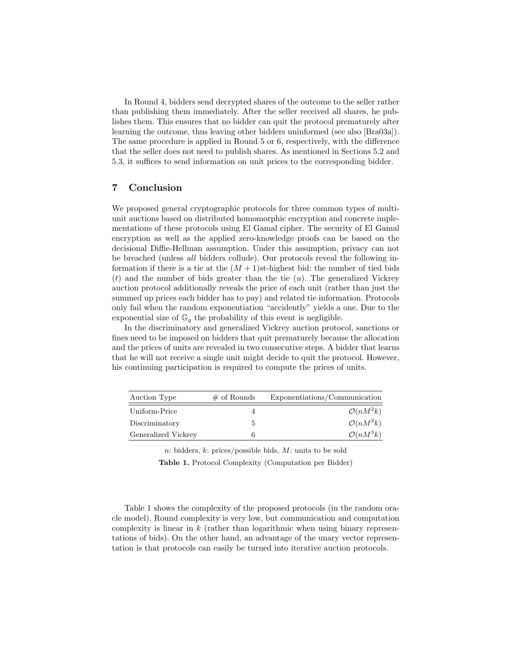In Round 4, bidders send decrypted shares of the outcome to the seller rather than publishing them immediately. After the seller received all shares, he publishes them. This ensures that no bidder can quit the protocol prematurely after learning the outcome, thus leaving other bidders uninformed (see also [Bra03a]). The same procedure is applied in Round 5 or 6, respectively, with the difference that the seller does not need to publish shares. As mentioned in Sections 5.2 and 5.3, it suffices to send information on unit prices to the corresponding bidder.

# 7 Conclusion

We proposed general cryptographic protocols for three common types of multiunit auctions based on distributed homomorphic encryption and concrete implementations of these protocols using El Gamal cipher. The security of El Gamal encryption as well as the applied zero-knowledge proofs can be based on the decisional Diffie-Hellman assumption. Under this assumption, privacy can not be breached (unless all bidders collude). Our protocols reveal the following information if there is a tie at the  $(M + 1)$ st-highest bid: the number of tied bids  $(t)$  and the number of bids greater than the tie  $(u)$ . The generalized Vickrey auction protocol additionally reveals the price of each unit (rather than just the summed up prices each bidder has to pay) and related tie information. Protocols only fail when the random exponentiation "accidently" yields a one. Due to the exponential size of  $\mathbb{G}_q$  the probability of this event is negligible.

In the discriminatory and generalized Vickrey auction protocol, sanctions or fines need to be imposed on bidders that quit prematurely because the allocation and the prices of units are revealed in two consecutive steps. A bidder that learns that he will not receive a single unit might decide to quit the protocol. However, his continuing participation is required to compute the prices of units.

| Auction Type        | $\#$ of Rounds | Exponentiations/Communication |
|---------------------|----------------|-------------------------------|
| Uniform-Price       |                | $\mathcal{O}(nM^2k)$          |
| Discriminatory      | $\mathcal{D}$  | $\mathcal{O}(nM^2k)$          |
| Generalized Vickrey |                | $\mathcal{O}(nM^3k)$          |

n: bidders,  $k$ : prices/possible bids,  $M$ : units to be sold Table 1. Protocol Complexity (Computation per Bidder)

Table 1 shows the complexity of the proposed protocols (in the random oracle model). Round complexity is very low, but communication and computation complexity is linear in k (rather than logarithmic when using binary representations of bids). On the other hand, an advantage of the unary vector representation is that protocols can easily be turned into iterative auction protocols.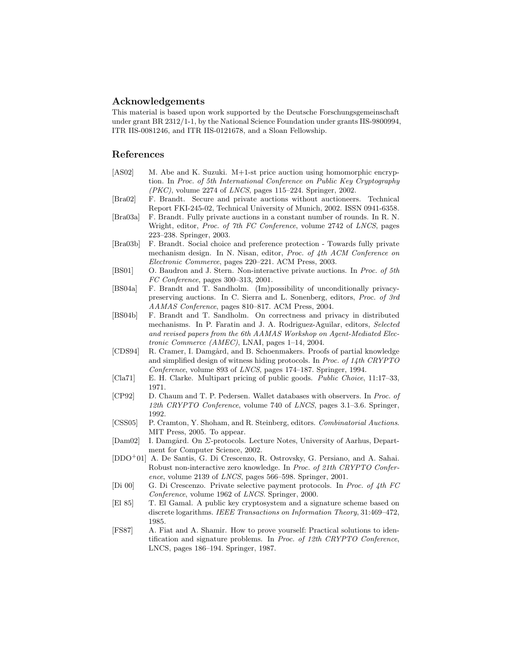### Acknowledgements

This material is based upon work supported by the Deutsche Forschungsgemeinschaft under grant BR 2312/1-1, by the National Science Foundation under grants IIS-9800994, ITR IIS-0081246, and ITR IIS-0121678, and a Sloan Fellowship.

## References

- [AS02] M. Abe and K. Suzuki. M+1-st price auction using homomorphic encryption. In Proc. of 5th International Conference on Public Key Cryptography  $(PKC)$ , volume 2274 of *LNCS*, pages 115–224. Springer, 2002.
- [Bra02] F. Brandt. Secure and private auctions without auctioneers. Technical Report FKI-245-02, Technical University of Munich, 2002. ISSN 0941-6358.
- [Bra03a] F. Brandt. Fully private auctions in a constant number of rounds. In R. N. Wright, editor, *Proc. of 7th FC Conference*, volume 2742 of *LNCS*, pages 223–238. Springer, 2003.
- [Bra03b] F. Brandt. Social choice and preference protection Towards fully private mechanism design. In N. Nisan, editor, Proc. of 4th ACM Conference on Electronic Commerce, pages 220–221. ACM Press, 2003.
- [BS01] O. Baudron and J. Stern. Non-interactive private auctions. In Proc. of 5th FC Conference, pages 300–313, 2001.
- [BS04a] F. Brandt and T. Sandholm. (Im)possibility of unconditionally privacypreserving auctions. In C. Sierra and L. Sonenberg, editors, Proc. of 3rd AAMAS Conference, pages 810–817. ACM Press, 2004.
- [BS04b] F. Brandt and T. Sandholm. On correctness and privacy in distributed mechanisms. In P. Faratin and J. A. Rodriguez-Aguilar, editors, Selected and revised papers from the 6th AAMAS Workshop on Agent-Mediated Electronic Commerce (AMEC), LNAI, pages 1–14, 2004.
- [CDS94] R. Cramer, I. Damgård, and B. Schoenmakers. Proofs of partial knowledge and simplified design of witness hiding protocols. In Proc. of 14th CRYPTO Conference, volume 893 of LNCS, pages 174–187. Springer, 1994.
- [Cla71] E. H. Clarke. Multipart pricing of public goods. Public Choice, 11:17–33, 1971.
- [CP92] D. Chaum and T. P. Pedersen. Wallet databases with observers. In Proc. of 12th CRYPTO Conference, volume 740 of LNCS, pages 3.1–3.6. Springer, 1992.
- [CSS05] P. Cramton, Y. Shoham, and R. Steinberg, editors. Combinatorial Auctions. MIT Press, 2005. To appear.
- [Dam02] I. Damgård. On  $\Sigma$ -protocols. Lecture Notes, University of Aarhus, Department for Computer Science, 2002.
- [DDO<sup>+</sup>01] A. De Santis, G. Di Crescenzo, R. Ostrovsky, G. Persiano, and A. Sahai. Robust non-interactive zero knowledge. In Proc. of 21th CRYPTO Conference, volume 2139 of LNCS, pages 566–598. Springer, 2001.
- [Di 00] G. Di Crescenzo. Private selective payment protocols. In Proc. of  $4th$  FC Conference, volume 1962 of LNCS. Springer, 2000.
- [El 85] T. El Gamal. A public key cryptosystem and a signature scheme based on discrete logarithms. IEEE Transactions on Information Theory, 31:469–472, 1985.
- [FS87] A. Fiat and A. Shamir. How to prove yourself: Practical solutions to identification and signature problems. In Proc. of 12th CRYPTO Conference, LNCS, pages 186–194. Springer, 1987.